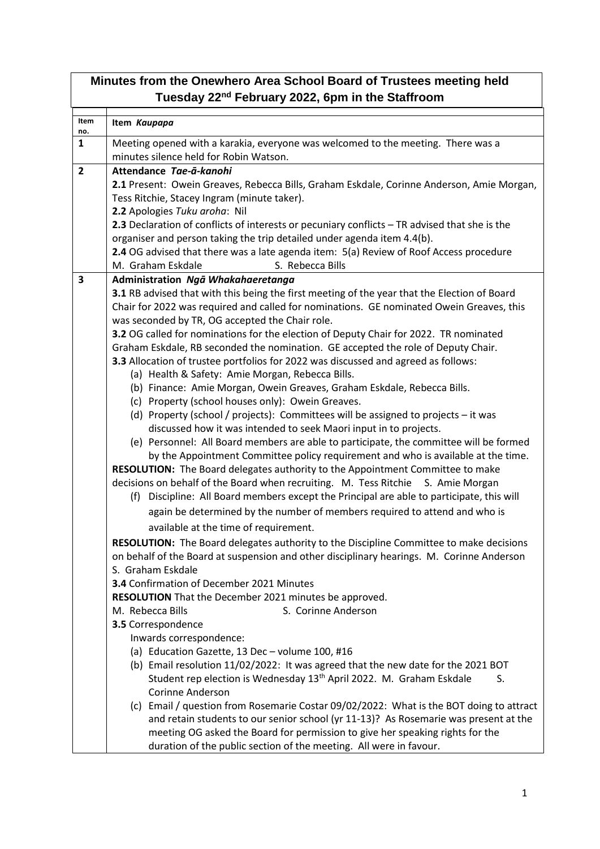| Minutes from the Onewhero Area School Board of Trustees meeting held<br>Tuesday 22 <sup>nd</sup> February 2022, 6pm in the Staffroom |                                                                                                                                          |  |  |  |
|--------------------------------------------------------------------------------------------------------------------------------------|------------------------------------------------------------------------------------------------------------------------------------------|--|--|--|
| Item<br>no.                                                                                                                          | Item Kaupapa                                                                                                                             |  |  |  |
| $\mathbf{1}$                                                                                                                         | Meeting opened with a karakia, everyone was welcomed to the meeting. There was a<br>minutes silence held for Robin Watson.               |  |  |  |
| $\overline{2}$                                                                                                                       | Attendance Tae-a-kanohi                                                                                                                  |  |  |  |
|                                                                                                                                      | 2.1 Present: Owein Greaves, Rebecca Bills, Graham Eskdale, Corinne Anderson, Amie Morgan,                                                |  |  |  |
|                                                                                                                                      | Tess Ritchie, Stacey Ingram (minute taker).                                                                                              |  |  |  |
|                                                                                                                                      | 2.2 Apologies Tuku aroha: Nil                                                                                                            |  |  |  |
|                                                                                                                                      | 2.3 Declaration of conflicts of interests or pecuniary conflicts - TR advised that she is the                                            |  |  |  |
|                                                                                                                                      | organiser and person taking the trip detailed under agenda item 4.4(b).                                                                  |  |  |  |
|                                                                                                                                      | 2.4 OG advised that there was a late agenda item: 5(a) Review of Roof Access procedure                                                   |  |  |  |
|                                                                                                                                      | S. Rebecca Bills<br>M. Graham Eskdale                                                                                                    |  |  |  |
| 3                                                                                                                                    | Administration Ngā Whakahaeretanga                                                                                                       |  |  |  |
|                                                                                                                                      | 3.1 RB advised that with this being the first meeting of the year that the Election of Board                                             |  |  |  |
|                                                                                                                                      | Chair for 2022 was required and called for nominations. GE nominated Owein Greaves, this                                                 |  |  |  |
|                                                                                                                                      | was seconded by TR, OG accepted the Chair role.<br>3.2 OG called for nominations for the election of Deputy Chair for 2022. TR nominated |  |  |  |
|                                                                                                                                      | Graham Eskdale, RB seconded the nomination. GE accepted the role of Deputy Chair.                                                        |  |  |  |
|                                                                                                                                      | 3.3 Allocation of trustee portfolios for 2022 was discussed and agreed as follows:                                                       |  |  |  |
|                                                                                                                                      | (a) Health & Safety: Amie Morgan, Rebecca Bills.                                                                                         |  |  |  |
|                                                                                                                                      | (b) Finance: Amie Morgan, Owein Greaves, Graham Eskdale, Rebecca Bills.                                                                  |  |  |  |
|                                                                                                                                      | (c) Property (school houses only): Owein Greaves.                                                                                        |  |  |  |
|                                                                                                                                      | (d) Property (school / projects): Committees will be assigned to projects - it was                                                       |  |  |  |
|                                                                                                                                      | discussed how it was intended to seek Maori input in to projects.                                                                        |  |  |  |
|                                                                                                                                      | (e) Personnel: All Board members are able to participate, the committee will be formed                                                   |  |  |  |
|                                                                                                                                      | by the Appointment Committee policy requirement and who is available at the time.                                                        |  |  |  |
|                                                                                                                                      | RESOLUTION: The Board delegates authority to the Appointment Committee to make                                                           |  |  |  |
|                                                                                                                                      | decisions on behalf of the Board when recruiting. M. Tess Ritchie S. Amie Morgan                                                         |  |  |  |
|                                                                                                                                      | (f) Discipline: All Board members except the Principal are able to participate, this will                                                |  |  |  |
|                                                                                                                                      | again be determined by the number of members required to attend and who is                                                               |  |  |  |
|                                                                                                                                      | available at the time of requirement.                                                                                                    |  |  |  |
|                                                                                                                                      | <b>RESOLUTION:</b> The Board delegates authority to the Discipline Committee to make decisions                                           |  |  |  |
|                                                                                                                                      | on behalf of the Board at suspension and other disciplinary hearings. M. Corinne Anderson                                                |  |  |  |
|                                                                                                                                      | S. Graham Eskdale<br>3.4 Confirmation of December 2021 Minutes                                                                           |  |  |  |
|                                                                                                                                      | RESOLUTION That the December 2021 minutes be approved.                                                                                   |  |  |  |
|                                                                                                                                      | S. Corinne Anderson<br>M. Rebecca Bills                                                                                                  |  |  |  |
|                                                                                                                                      | 3.5 Correspondence                                                                                                                       |  |  |  |
|                                                                                                                                      | Inwards correspondence:                                                                                                                  |  |  |  |
|                                                                                                                                      | (a) Education Gazette, 13 Dec - volume 100, #16                                                                                          |  |  |  |
|                                                                                                                                      | (b) Email resolution 11/02/2022: It was agreed that the new date for the 2021 BOT                                                        |  |  |  |
|                                                                                                                                      | Student rep election is Wednesday 13 <sup>th</sup> April 2022. M. Graham Eskdale<br>S.                                                   |  |  |  |
|                                                                                                                                      | <b>Corinne Anderson</b>                                                                                                                  |  |  |  |
|                                                                                                                                      | (c) Email / question from Rosemarie Costar 09/02/2022: What is the BOT doing to attract                                                  |  |  |  |
|                                                                                                                                      | and retain students to our senior school (yr 11-13)? As Rosemarie was present at the                                                     |  |  |  |
|                                                                                                                                      | meeting OG asked the Board for permission to give her speaking rights for the                                                            |  |  |  |
|                                                                                                                                      | duration of the public section of the meeting. All were in favour.                                                                       |  |  |  |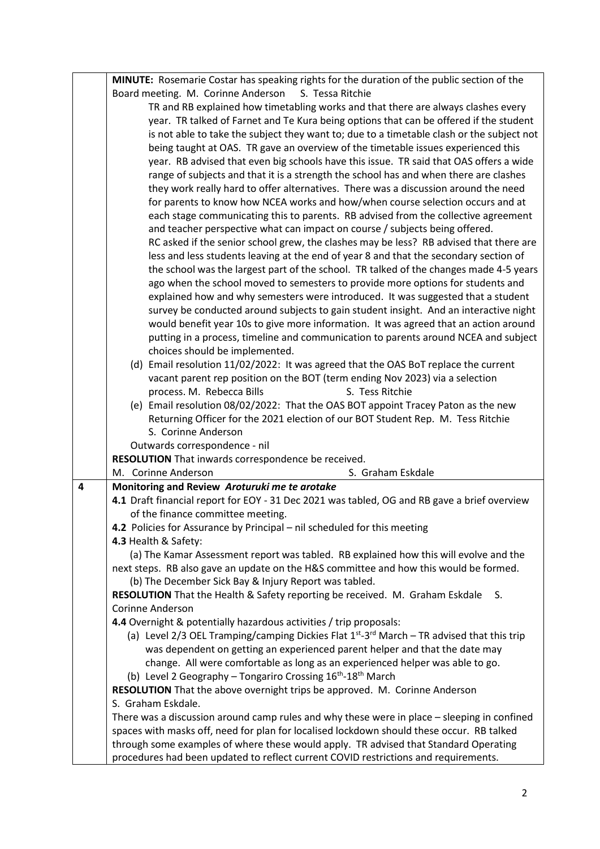|   | MINUTE: Rosemarie Costar has speaking rights for the duration of the public section of the                                                                                               |
|---|------------------------------------------------------------------------------------------------------------------------------------------------------------------------------------------|
|   | Board meeting. M. Corinne Anderson<br>S. Tessa Ritchie                                                                                                                                   |
|   | TR and RB explained how timetabling works and that there are always clashes every                                                                                                        |
|   | year. TR talked of Farnet and Te Kura being options that can be offered if the student                                                                                                   |
|   | is not able to take the subject they want to; due to a timetable clash or the subject not                                                                                                |
|   | being taught at OAS. TR gave an overview of the timetable issues experienced this                                                                                                        |
|   | year. RB advised that even big schools have this issue. TR said that OAS offers a wide                                                                                                   |
|   | range of subjects and that it is a strength the school has and when there are clashes                                                                                                    |
|   | they work really hard to offer alternatives. There was a discussion around the need                                                                                                      |
|   | for parents to know how NCEA works and how/when course selection occurs and at                                                                                                           |
|   | each stage communicating this to parents. RB advised from the collective agreement                                                                                                       |
|   | and teacher perspective what can impact on course / subjects being offered.                                                                                                              |
|   | RC asked if the senior school grew, the clashes may be less? RB advised that there are                                                                                                   |
|   | less and less students leaving at the end of year 8 and that the secondary section of                                                                                                    |
|   | the school was the largest part of the school. TR talked of the changes made 4-5 years                                                                                                   |
|   | ago when the school moved to semesters to provide more options for students and                                                                                                          |
|   | explained how and why semesters were introduced. It was suggested that a student                                                                                                         |
|   | survey be conducted around subjects to gain student insight. And an interactive night                                                                                                    |
|   | would benefit year 10s to give more information. It was agreed that an action around                                                                                                     |
|   | putting in a process, timeline and communication to parents around NCEA and subject                                                                                                      |
|   | choices should be implemented.                                                                                                                                                           |
|   | (d) Email resolution 11/02/2022: It was agreed that the OAS BoT replace the current                                                                                                      |
|   | vacant parent rep position on the BOT (term ending Nov 2023) via a selection                                                                                                             |
|   | S. Tess Ritchie<br>process. M. Rebecca Bills                                                                                                                                             |
|   | (e) Email resolution 08/02/2022: That the OAS BOT appoint Tracey Paton as the new                                                                                                        |
|   | Returning Officer for the 2021 election of our BOT Student Rep. M. Tess Ritchie                                                                                                          |
|   | S. Corinne Anderson                                                                                                                                                                      |
|   | Outwards correspondence - nil                                                                                                                                                            |
|   | RESOLUTION That inwards correspondence be received.                                                                                                                                      |
|   | M. Corinne Anderson<br>S. Graham Eskdale                                                                                                                                                 |
| 4 | Monitoring and Review Aroturuki me te arotake                                                                                                                                            |
|   | 4.1 Draft financial report for EOY - 31 Dec 2021 was tabled, OG and RB gave a brief overview                                                                                             |
|   | of the finance committee meeting.                                                                                                                                                        |
|   | 4.2 Policies for Assurance by Principal - nil scheduled for this meeting                                                                                                                 |
|   | 4.3 Health & Safety:                                                                                                                                                                     |
|   | (a) The Kamar Assessment report was tabled. RB explained how this will evolve and the                                                                                                    |
|   | next steps. RB also gave an update on the H&S committee and how this would be formed.                                                                                                    |
|   | (b) The December Sick Bay & Injury Report was tabled.                                                                                                                                    |
|   | RESOLUTION That the Health & Safety reporting be received. M. Graham Eskdale<br>S.                                                                                                       |
|   | <b>Corinne Anderson</b>                                                                                                                                                                  |
|   | 4.4 Overnight & potentially hazardous activities / trip proposals:<br>(a) Level 2/3 OEL Tramping/camping Dickies Flat $1^{st}$ -3 <sup>rd</sup> March – TR advised that this trip        |
|   |                                                                                                                                                                                          |
|   | was dependent on getting an experienced parent helper and that the date may                                                                                                              |
|   | change. All were comfortable as long as an experienced helper was able to go.<br>(b) Level 2 Geography - Tongariro Crossing 16 <sup>th</sup> -18 <sup>th</sup> March                     |
|   |                                                                                                                                                                                          |
|   | RESOLUTION That the above overnight trips be approved. M. Corinne Anderson                                                                                                               |
|   | S. Graham Eskdale.                                                                                                                                                                       |
|   | There was a discussion around camp rules and why these were in place - sleeping in confined<br>spaces with masks off, need for plan for localised lockdown should these occur. RB talked |
|   | through some examples of where these would apply. TR advised that Standard Operating                                                                                                     |
|   | procedures had been updated to reflect current COVID restrictions and requirements.                                                                                                      |
|   |                                                                                                                                                                                          |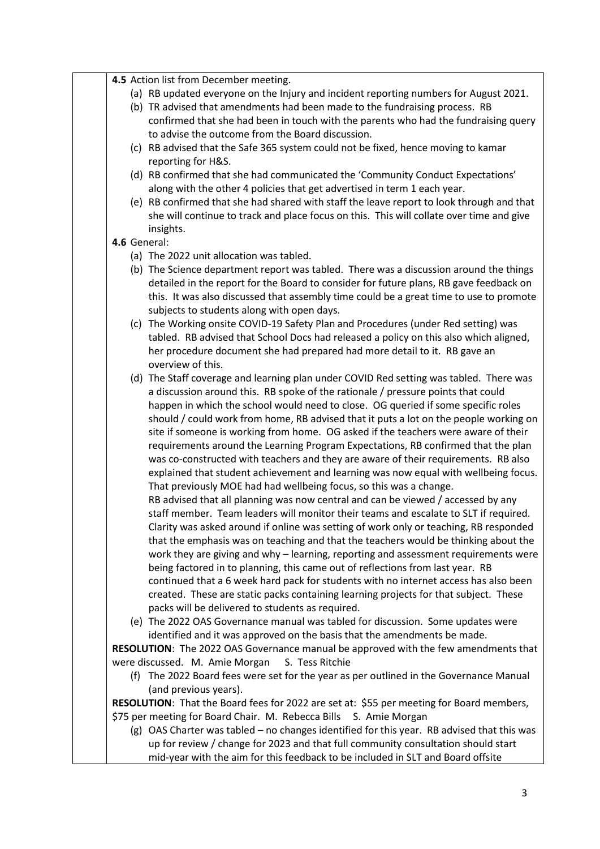|              | 4.5 Action list from December meeting.                                                                                                                                                                                                                                                                                                                                                                                                                                                                                                                                                                                                                                                                                                                                                                                                                                                                                                                                                                                                                                                                                                                                                                                                                                                                                                                                                                                                                                                                                                                          |
|--------------|-----------------------------------------------------------------------------------------------------------------------------------------------------------------------------------------------------------------------------------------------------------------------------------------------------------------------------------------------------------------------------------------------------------------------------------------------------------------------------------------------------------------------------------------------------------------------------------------------------------------------------------------------------------------------------------------------------------------------------------------------------------------------------------------------------------------------------------------------------------------------------------------------------------------------------------------------------------------------------------------------------------------------------------------------------------------------------------------------------------------------------------------------------------------------------------------------------------------------------------------------------------------------------------------------------------------------------------------------------------------------------------------------------------------------------------------------------------------------------------------------------------------------------------------------------------------|
|              | (a) RB updated everyone on the Injury and incident reporting numbers for August 2021.<br>(b) TR advised that amendments had been made to the fundraising process. RB<br>confirmed that she had been in touch with the parents who had the fundraising query<br>to advise the outcome from the Board discussion.                                                                                                                                                                                                                                                                                                                                                                                                                                                                                                                                                                                                                                                                                                                                                                                                                                                                                                                                                                                                                                                                                                                                                                                                                                                 |
|              | (c) RB advised that the Safe 365 system could not be fixed, hence moving to kamar<br>reporting for H&S.                                                                                                                                                                                                                                                                                                                                                                                                                                                                                                                                                                                                                                                                                                                                                                                                                                                                                                                                                                                                                                                                                                                                                                                                                                                                                                                                                                                                                                                         |
|              | (d) RB confirmed that she had communicated the 'Community Conduct Expectations'<br>along with the other 4 policies that get advertised in term 1 each year.                                                                                                                                                                                                                                                                                                                                                                                                                                                                                                                                                                                                                                                                                                                                                                                                                                                                                                                                                                                                                                                                                                                                                                                                                                                                                                                                                                                                     |
|              | (e) RB confirmed that she had shared with staff the leave report to look through and that<br>she will continue to track and place focus on this. This will collate over time and give<br>insights.                                                                                                                                                                                                                                                                                                                                                                                                                                                                                                                                                                                                                                                                                                                                                                                                                                                                                                                                                                                                                                                                                                                                                                                                                                                                                                                                                              |
| 4.6 General: |                                                                                                                                                                                                                                                                                                                                                                                                                                                                                                                                                                                                                                                                                                                                                                                                                                                                                                                                                                                                                                                                                                                                                                                                                                                                                                                                                                                                                                                                                                                                                                 |
|              | (a) The 2022 unit allocation was tabled.                                                                                                                                                                                                                                                                                                                                                                                                                                                                                                                                                                                                                                                                                                                                                                                                                                                                                                                                                                                                                                                                                                                                                                                                                                                                                                                                                                                                                                                                                                                        |
|              | (b) The Science department report was tabled. There was a discussion around the things<br>detailed in the report for the Board to consider for future plans, RB gave feedback on<br>this. It was also discussed that assembly time could be a great time to use to promote<br>subjects to students along with open days.                                                                                                                                                                                                                                                                                                                                                                                                                                                                                                                                                                                                                                                                                                                                                                                                                                                                                                                                                                                                                                                                                                                                                                                                                                        |
|              | (c) The Working onsite COVID-19 Safety Plan and Procedures (under Red setting) was<br>tabled. RB advised that School Docs had released a policy on this also which aligned,<br>her procedure document she had prepared had more detail to it. RB gave an<br>overview of this.                                                                                                                                                                                                                                                                                                                                                                                                                                                                                                                                                                                                                                                                                                                                                                                                                                                                                                                                                                                                                                                                                                                                                                                                                                                                                   |
|              | (d) The Staff coverage and learning plan under COVID Red setting was tabled. There was<br>a discussion around this. RB spoke of the rationale / pressure points that could<br>happen in which the school would need to close. OG queried if some specific roles<br>should / could work from home, RB advised that it puts a lot on the people working on<br>site if someone is working from home. OG asked if the teachers were aware of their<br>requirements around the Learning Program Expectations, RB confirmed that the plan<br>was co-constructed with teachers and they are aware of their requirements. RB also<br>explained that student achievement and learning was now equal with wellbeing focus.<br>That previously MOE had had wellbeing focus, so this was a change.<br>RB advised that all planning was now central and can be viewed / accessed by any<br>staff member. Team leaders will monitor their teams and escalate to SLT if required.<br>Clarity was asked around if online was setting of work only or teaching, RB responded<br>that the emphasis was on teaching and that the teachers would be thinking about the<br>work they are giving and why - learning, reporting and assessment requirements were<br>being factored in to planning, this came out of reflections from last year. RB<br>continued that a 6 week hard pack for students with no internet access has also been<br>created. These are static packs containing learning projects for that subject. These<br>packs will be delivered to students as required. |
|              | (e) The 2022 OAS Governance manual was tabled for discussion. Some updates were<br>identified and it was approved on the basis that the amendments be made.                                                                                                                                                                                                                                                                                                                                                                                                                                                                                                                                                                                                                                                                                                                                                                                                                                                                                                                                                                                                                                                                                                                                                                                                                                                                                                                                                                                                     |
|              | RESOLUTION: The 2022 OAS Governance manual be approved with the few amendments that                                                                                                                                                                                                                                                                                                                                                                                                                                                                                                                                                                                                                                                                                                                                                                                                                                                                                                                                                                                                                                                                                                                                                                                                                                                                                                                                                                                                                                                                             |
|              | were discussed. M. Amie Morgan<br>S. Tess Ritchie                                                                                                                                                                                                                                                                                                                                                                                                                                                                                                                                                                                                                                                                                                                                                                                                                                                                                                                                                                                                                                                                                                                                                                                                                                                                                                                                                                                                                                                                                                               |
|              | (f) The 2022 Board fees were set for the year as per outlined in the Governance Manual<br>(and previous years).                                                                                                                                                                                                                                                                                                                                                                                                                                                                                                                                                                                                                                                                                                                                                                                                                                                                                                                                                                                                                                                                                                                                                                                                                                                                                                                                                                                                                                                 |
|              | RESOLUTION: That the Board fees for 2022 are set at: \$55 per meeting for Board members,                                                                                                                                                                                                                                                                                                                                                                                                                                                                                                                                                                                                                                                                                                                                                                                                                                                                                                                                                                                                                                                                                                                                                                                                                                                                                                                                                                                                                                                                        |
|              | \$75 per meeting for Board Chair. M. Rebecca Bills S. Amie Morgan                                                                                                                                                                                                                                                                                                                                                                                                                                                                                                                                                                                                                                                                                                                                                                                                                                                                                                                                                                                                                                                                                                                                                                                                                                                                                                                                                                                                                                                                                               |
|              | (g) OAS Charter was tabled - no changes identified for this year. RB advised that this was                                                                                                                                                                                                                                                                                                                                                                                                                                                                                                                                                                                                                                                                                                                                                                                                                                                                                                                                                                                                                                                                                                                                                                                                                                                                                                                                                                                                                                                                      |
|              | up for review / change for 2023 and that full community consultation should start<br>mid-year with the aim for this feedback to be included in SLT and Board offsite                                                                                                                                                                                                                                                                                                                                                                                                                                                                                                                                                                                                                                                                                                                                                                                                                                                                                                                                                                                                                                                                                                                                                                                                                                                                                                                                                                                            |